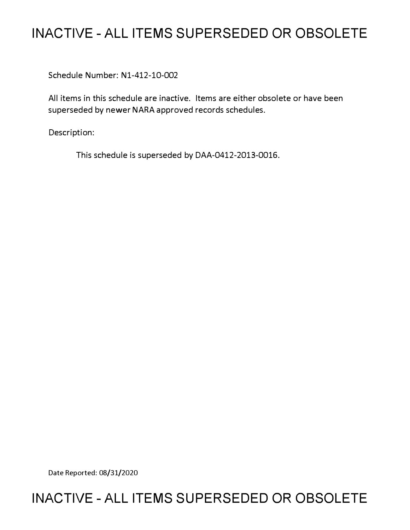## **INACTIVE - ALL ITEMS SUPERSEDED OR OBSOLETE**

Schedule Number: Nl-412-10-002

All items in this schedule are inactive. Items are either obsolete or have been superseded by newer NARA approved records schedules.

Description:

This schedule is superseded by DAA-0412-2013-0016.

Date Reported: 08/31/2020

## **INACTIVE - ALL ITEMS SUPERSEDED OR OBSOLETE**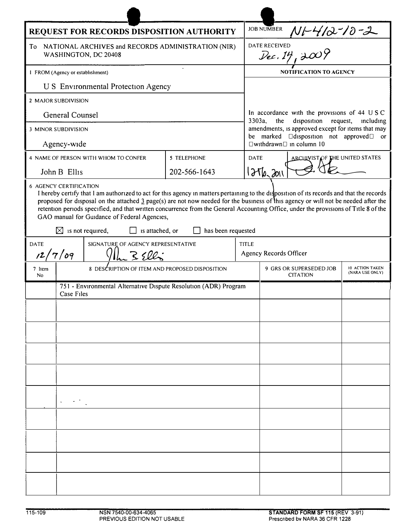| REQUEST FOR RECORDS DISPOSITION AUTHORITY                                                                                                                                                                                                                                                                                                                                                                                                                                                                                                                                              |                                                                                |                                      |              |              | <b>JOB NUMBER</b>                                                                                    |                                    |  |
|----------------------------------------------------------------------------------------------------------------------------------------------------------------------------------------------------------------------------------------------------------------------------------------------------------------------------------------------------------------------------------------------------------------------------------------------------------------------------------------------------------------------------------------------------------------------------------------|--------------------------------------------------------------------------------|--------------------------------------|--------------|--------------|------------------------------------------------------------------------------------------------------|------------------------------------|--|
| NATIONAL ARCHIVES and RECORDS ADMINISTRATION (NIR)<br>To<br>WASHINGTON, DC 20408                                                                                                                                                                                                                                                                                                                                                                                                                                                                                                       |                                                                                |                                      |              |              | BNUMBER $M$ 1-4/2-10-2<br><b>DATE RECEIVED</b>                                                       |                                    |  |
| I FROM (Agency or establishment)                                                                                                                                                                                                                                                                                                                                                                                                                                                                                                                                                       |                                                                                |                                      |              |              | <b>NOTIFICATION TO AGENCY</b>                                                                        |                                    |  |
| <b>U S</b> Environmental Protection Agency                                                                                                                                                                                                                                                                                                                                                                                                                                                                                                                                             |                                                                                |                                      |              |              |                                                                                                      |                                    |  |
| 2 MAJOR SUBDIVISION                                                                                                                                                                                                                                                                                                                                                                                                                                                                                                                                                                    |                                                                                |                                      |              |              |                                                                                                      |                                    |  |
| General Counsel                                                                                                                                                                                                                                                                                                                                                                                                                                                                                                                                                                        |                                                                                |                                      |              |              | In accordance with the provisions of 44 USC<br>3303a,<br>the<br>disposition<br>request,<br>including |                                    |  |
| <b>3 MINOR SUBDIVISION</b>                                                                                                                                                                                                                                                                                                                                                                                                                                                                                                                                                             |                                                                                |                                      |              |              | amendments, is approved except for items that may<br>be marked <b>Desition</b> not approved or       |                                    |  |
| Agency-wide                                                                                                                                                                                                                                                                                                                                                                                                                                                                                                                                                                            |                                                                                |                                      |              |              | □withdrawn□ in column 10                                                                             |                                    |  |
|                                                                                                                                                                                                                                                                                                                                                                                                                                                                                                                                                                                        |                                                                                | 4 NAME OF PERSON WITH WHOM TO CONFER | 5 TELEPHONE  |              | ARCHIVIST OF THE UNITED STATES<br><b>DATE</b>                                                        |                                    |  |
|                                                                                                                                                                                                                                                                                                                                                                                                                                                                                                                                                                                        | John B Ellis                                                                   |                                      | 202-566-1643 |              | 1276,2011                                                                                            |                                    |  |
| <b>6 AGENCY CERTIFICATION</b><br>I hereby certify that I am authorized to act for this agency in matters pertaining to the disposition of its records and that the records<br>proposed for disposal on the attached $\frac{3}{2}$ page(s) are not now needed for the business of this agency or will not be needed after the<br>retention periods specified, and that written concurrence from the General Accounting Office, under the provisions of Title 8 of the<br>GAO manual for Guidance of Federal Agencies,<br>has been requested<br>⊠<br>is not required,<br>is attached, or |                                                                                |                                      |              |              |                                                                                                      |                                    |  |
| SIGNATURE OF AGENCY REPRESENTATIVE<br><b>DATE</b>                                                                                                                                                                                                                                                                                                                                                                                                                                                                                                                                      |                                                                                |                                      |              | <b>TITLE</b> |                                                                                                      |                                    |  |
| 12/7/09                                                                                                                                                                                                                                                                                                                                                                                                                                                                                                                                                                                |                                                                                |                                      |              |              | Agency Records Officer                                                                               |                                    |  |
| 7 Item<br>No                                                                                                                                                                                                                                                                                                                                                                                                                                                                                                                                                                           | 8 DESCRIPTION OF ITEM AND PROPOSED DISPOSITION                                 |                                      |              |              | 9 GRS OR SUPERSEDED JOB<br><b>CITATION</b>                                                           | 10 ACTION TAKEN<br>(NARA USE ONLY) |  |
|                                                                                                                                                                                                                                                                                                                                                                                                                                                                                                                                                                                        | 751 - Environmental Alternative Dispute Resolution (ADR) Program<br>Case Files |                                      |              |              |                                                                                                      |                                    |  |
|                                                                                                                                                                                                                                                                                                                                                                                                                                                                                                                                                                                        |                                                                                |                                      |              |              |                                                                                                      |                                    |  |
|                                                                                                                                                                                                                                                                                                                                                                                                                                                                                                                                                                                        |                                                                                |                                      |              |              |                                                                                                      |                                    |  |
|                                                                                                                                                                                                                                                                                                                                                                                                                                                                                                                                                                                        |                                                                                |                                      |              |              |                                                                                                      |                                    |  |
|                                                                                                                                                                                                                                                                                                                                                                                                                                                                                                                                                                                        |                                                                                |                                      |              |              |                                                                                                      |                                    |  |
|                                                                                                                                                                                                                                                                                                                                                                                                                                                                                                                                                                                        |                                                                                |                                      |              |              |                                                                                                      |                                    |  |
|                                                                                                                                                                                                                                                                                                                                                                                                                                                                                                                                                                                        |                                                                                |                                      |              |              |                                                                                                      |                                    |  |
|                                                                                                                                                                                                                                                                                                                                                                                                                                                                                                                                                                                        |                                                                                |                                      |              |              |                                                                                                      |                                    |  |
|                                                                                                                                                                                                                                                                                                                                                                                                                                                                                                                                                                                        |                                                                                |                                      |              |              |                                                                                                      |                                    |  |
|                                                                                                                                                                                                                                                                                                                                                                                                                                                                                                                                                                                        |                                                                                |                                      |              |              |                                                                                                      |                                    |  |
|                                                                                                                                                                                                                                                                                                                                                                                                                                                                                                                                                                                        |                                                                                |                                      |              |              |                                                                                                      |                                    |  |
|                                                                                                                                                                                                                                                                                                                                                                                                                                                                                                                                                                                        |                                                                                |                                      |              |              |                                                                                                      |                                    |  |
|                                                                                                                                                                                                                                                                                                                                                                                                                                                                                                                                                                                        |                                                                                |                                      |              |              |                                                                                                      |                                    |  |
|                                                                                                                                                                                                                                                                                                                                                                                                                                                                                                                                                                                        |                                                                                |                                      |              |              |                                                                                                      |                                    |  |

 $\blacksquare$  $\overline{1}$ 

 $\blacksquare$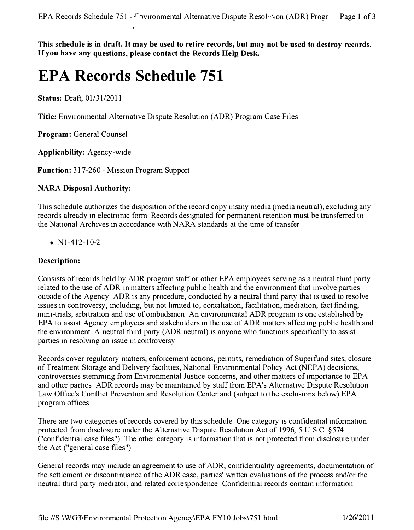**This schedule is in draft. It may be used to retire records, but may not be used to destroy records. If you have any questions, please contact the Records Help Desk.** 

# **EPA Records Schedule 751**

**Status: Draft, 01/31/2011** 

**Title:** Environmental Alternative Dispute Resolution (ADR) Program Case Files

**Program: General Counsel** 

**Applicability: Agency-wide** 

**Function: 317-260 - Mission Program Support** 

#### **NARA Disposal Authority:**

**This schedule authonzes the disposition of the record copy msany media (media neutral), excludmg any records already m electromc form Records designated for permanent retention must be transferred to the National Archives m accordance with NARA standards at the time of transfer** 

#### **• Nl-412-10-2**

#### **Description:**

**Consists of records held by ADR program staff or other EPA employees servmg as a neutral third party**  related to the use of ADR in matters affecting public health and the environment that involve parties **outside of the Agency ADR is any procedure, conducted by a neutral thtrd party that is used to resolve issues m controversy, mcludmg, but not limited to, conciliation, facilitation, mediation, fact findmg, mm1-tnals, arbitration and use of ombudsmen An environmental ADR program is one established by EPA to assist Agency employees and stakeholders m the use of ADR matters affectmg public health and the environment A neutral third party (ADR neutral) is anyone who functions specifically to assist parties m resolvmg an issue m controversy** 

**Records cover regulatory matters, enforcement actions, permits, remediation of Superfund sites, closure of Treatment Storage and Delivery facilities, National Environmental Policy Act (NEPA) decisions, controversies stemmmg from Environmental Justice concerns, and other matters of importance to EPA and other parties ADR records may be mamtamed by staff from EPA's Alternative Dispute Resolution**  Law Office's Conflict Prevention and Resolution Center and (subject to the exclusions below) EPA **program offices** 

There are two categories of records covered by this schedule One category is confidential information **protected from disclosure under the Alternative Dispute Resolution Act of 1996, 5 USC §574 ("confidential case files"). The other category is mformahon that is not protected from disclosure under the Act ("general case files")** 

**General records may mclude an agreement to use of ADR, confidentiality agreements, documentation of the settlement or discontmuance of the ADR case, parties' wntten evaluations of the process and/or the**  neutral third party mediator, and related correspondence Confidential records contain information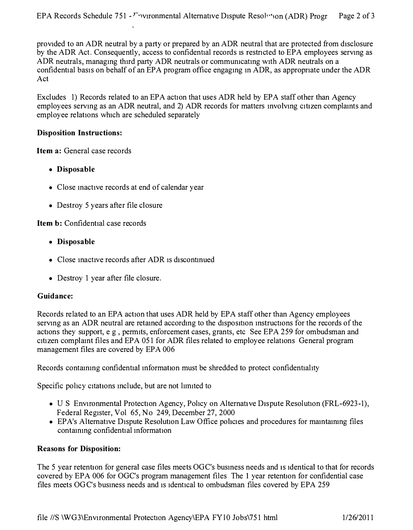**provided to an ADR neutral by a party or prepared by an ADR neutral that are protected from disclosure by the ADR Act. Consequently, access to confidential records 1s restricted to EPA employees servmg as ADR neutrals, managmg third party ADR neutrals or commumcatmg with ADR neutrals on a confidential basis on behalf of an EPA program office engagmg m ADR, as appropriate under the ADR Act** 

**Excludes 1) Records related to an EPA action that uses ADR held by EPA staff other than Agency employees servmg as an ADR neutral, and 2) ADR records for matters mvolvmg citizen complamts and employee relations which are scheduled separately** 

#### **Disposition Instructions:**

**Item a: General case records** 

- **Disposable**
- **Close mactive records at end of calendar year**
- **Destroy 5 years after file closure**

**Item b: Confidential case records** 

- **Disposable**
- Close inactive records after ADR is discontinued
- **Destroy 1 year after file closure.**

#### **Guidance:**

Records related to an EPA action that uses ADR held by EPA staff other than Agency employees serving as an ADR neutral are retained according to the disposition instructions for the records of the **actions they support, e g , permits, enforcement cases, grants, etc See EPA 259 for ombudsman and citizen complamt files and EPA 051 for ADR files related to employee relations General program management files are covered by EPA 006** 

Records containing confidential information must be shredded to protect confidentiality

**Specific pohcy citations mclude, but are not lnmted to** 

- U S Environmental Protection Agency, Policy on Alternative Dispute Resolution (FRL-6923-1), **Federal Register, Vol 65, No 249, December 27, 2000**
- **EPA's Alternative Dispute Resolution Law Office policies and procedures for mamtammg files contammg confidential mformation**

#### **Reasons for Disposition:**

**The 5 year retention for general case files meets OGC's busmess needs and 1s identical to that for records covered by EPA 006 for OGC's program management files The 1 year retention for confidential case files meets OGC's busmess needs and is identical to ombudsman files covered by EPA 259**